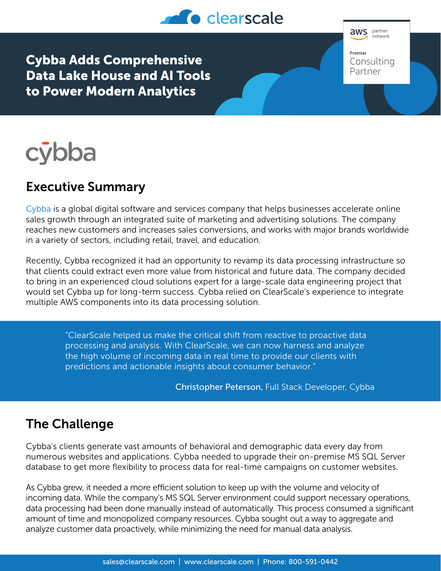

Cybba Adds Comprehensive Data Lake House and AI Tools to Power Modern Analytics





## Executive Summary

[Cybba](https://cybba.com/) is a global digital software and services company that helps businesses accelerate online sales growth through an integrated suite of marketing and advertising solutions. The company reaches new customers and increases sales conversions, and works with major brands worldwide in a variety of sectors, including retail, travel, and education.

Recently, Cybba recognized it had an opportunity to revamp its data processing infrastructure so that clients could extract even more value from historical and future data. The company decided to bring in an experienced cloud solutions expert for a large-scale data engineering project that would set Cybba up for long-term success. Cybba relied on ClearScale's experience to integrate multiple AWS components into its data processing solution.

> "ClearScale helped us make the critical shift from reactive to proactive data processing and analysis. With ClearScale, we can now harness and analyze the high volume of incoming data in real time to provide our clients with predictions and actionable insights about consumer behavior."

> > Christopher Peterson, Full Stack Developer, Cybba

## The Challenge

Cybba's clients generate vast amounts of behavioral and demographic data every day from numerous websites and applications. Cybba needed to upgrade their on-premise MS SQL Server database to get more flexibility to process data for real-time campaigns on customer websites.

As Cybba grew, it needed a more efficient solution to keep up with the volume and velocity of incoming data. While the company's MS SQL Server environment could support necessary operations, data processing had been done manually instead of automatically. This process consumed a significant amount of time and monopolized company resources. Cybba sought out a way to aggregate and analyze customer data proactively, while minimizing the need for manual data analysis.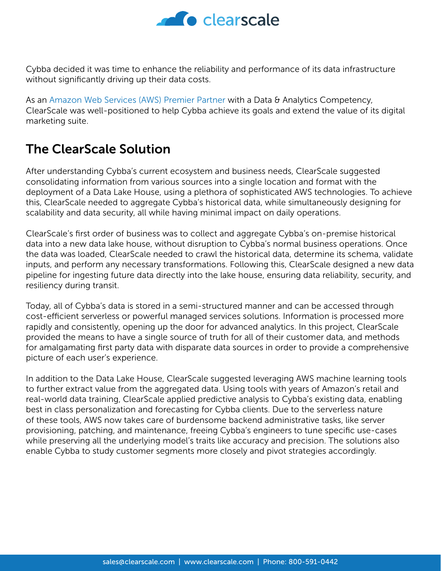

Cybba decided it was time to enhance the reliability and performance of its data infrastructure without significantly driving up their data costs.

As an [Amazon Web Services \(AWS\) Premier Partner](https://partners.amazonaws.com/partners/001E000000Rl0wKIAR/ClearScale) with a Data & Analytics Competency, ClearScale was well-positioned to help Cybba achieve its goals and extend the value of its digital marketing suite.

## The ClearScale Solution

After understanding Cybba's current ecosystem and business needs, ClearScale suggested consolidating information from various sources into a single location and format with the deployment of a Data Lake House, using a plethora of sophisticated AWS technologies. To achieve this, ClearScale needed to aggregate Cybba's historical data, while simultaneously designing for scalability and data security, all while having minimal impact on daily operations.

ClearScale's first order of business was to collect and aggregate Cybba's on-premise historical data into a new data lake house, without disruption to Cybba's normal business operations. Once the data was loaded, ClearScale needed to crawl the historical data, determine its schema, validate inputs, and perform any necessary transformations. Following this, ClearScale designed a new data pipeline for ingesting future data directly into the lake house, ensuring data reliability, security, and resiliency during transit.

Today, all of Cybba's data is stored in a semi-structured manner and can be accessed through cost-efficient serverless or powerful managed services solutions. Information is processed more rapidly and consistently, opening up the door for advanced analytics. In this project, ClearScale provided the means to have a single source of truth for all of their customer data, and methods for amalgamating first party data with disparate data sources in order to provide a comprehensive picture of each user's experience.

In addition to the Data Lake House, ClearScale suggested leveraging AWS machine learning tools to further extract value from the aggregated data. Using tools with years of Amazon's retail and real-world data training, ClearScale applied predictive analysis to Cybba's existing data, enabling best in class personalization and forecasting for Cybba clients. Due to the serverless nature of these tools, AWS now takes care of burdensome backend administrative tasks, like server provisioning, patching, and maintenance, freeing Cybba's engineers to tune specific use-cases while preserving all the underlying model's traits like accuracy and precision. The solutions also enable Cybba to study customer segments more closely and pivot strategies accordingly.